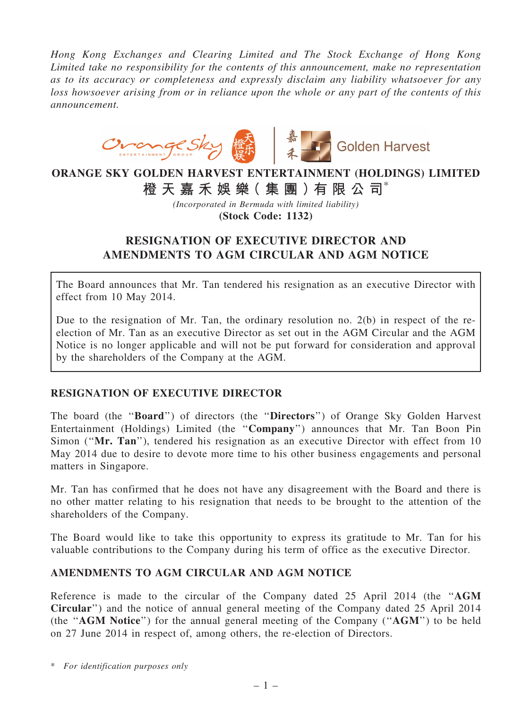*Hong Kong Exchanges and Clearing Limited and The Stock Exchange of Hong Kong Limited take no responsibility for the contents of this announcement, make no representation as to its accuracy or completeness and expressly disclaim any liability whatsoever for any loss howsoever arising from or in reliance upon the whole or any part of the contents of this announcement.*



## ORANGE SKY GOLDEN HARVEST ENTERTAINMENT (HOLDINGS) LIMITED 橙 天 嘉 禾 娛 樂( 集 團 )有 限 公 司\*

*(Incorporated in Bermuda with limited liability)* (Stock Code: 1132)

## RESIGNATION OF EXECUTIVE DIRECTOR AND AMENDMENTS TO AGM CIRCULAR AND AGM NOTICE

The Board announces that Mr. Tan tendered his resignation as an executive Director with effect from 10 May 2014.

Due to the resignation of Mr. Tan, the ordinary resolution no. 2(b) in respect of the reelection of Mr. Tan as an executive Director as set out in the AGM Circular and the AGM Notice is no longer applicable and will not be put forward for consideration and approval by the shareholders of the Company at the AGM.

## RESIGNATION OF EXECUTIVE DIRECTOR

The board (the ''Board'') of directors (the ''Directors'') of Orange Sky Golden Harvest Entertainment (Holdings) Limited (the ''Company'') announces that Mr. Tan Boon Pin Simon ("Mr. Tan"), tendered his resignation as an executive Director with effect from 10 May 2014 due to desire to devote more time to his other business engagements and personal matters in Singapore.

Mr. Tan has confirmed that he does not have any disagreement with the Board and there is no other matter relating to his resignation that needs to be brought to the attention of the shareholders of the Company.

The Board would like to take this opportunity to express its gratitude to Mr. Tan for his valuable contributions to the Company during his term of office as the executive Director.

## AMENDMENTS TO AGM CIRCULAR AND AGM NOTICE

Reference is made to the circular of the Company dated 25 April 2014 (the ''AGM Circular'') and the notice of annual general meeting of the Company dated 25 April 2014 (the "AGM Notice") for the annual general meeting of the Company ("AGM") to be held on 27 June 2014 in respect of, among others, the re-election of Directors.

<sup>\*</sup> *For identification purposes only*